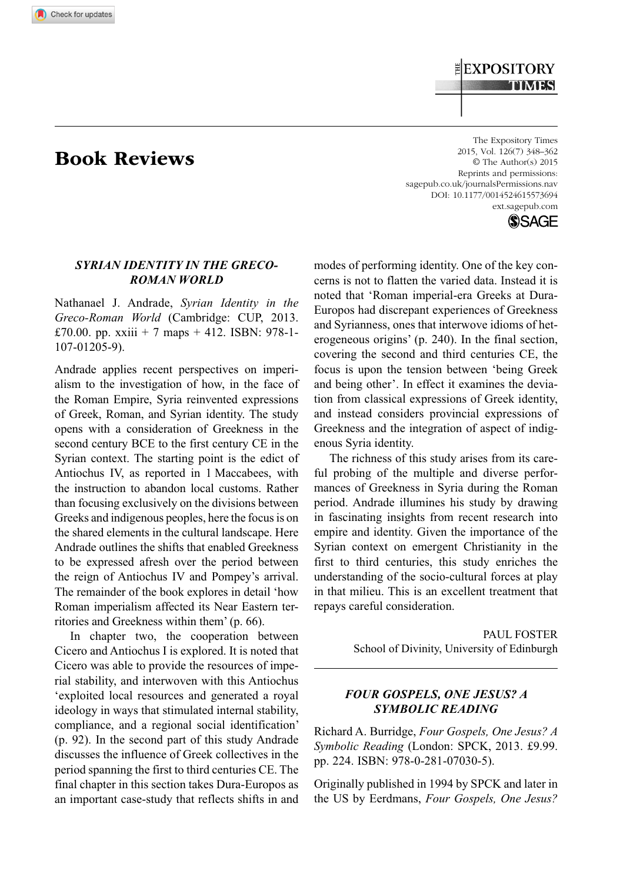# **EXPOSITORY** TIMES

## Book Reviews

The Expository Times 2015, Vol. 126(7) 348–362 © The Author(s) 2015 Reprints and permissions: sagepub.co.uk/journalsPermissions.nav DOI: 10.1177/0014524615573694 ext.sagepub.com **SSAGE** 

### *Syrian Identity in the Greco-Roman World*

Nathanael J. Andrade, *Syrian Identity in the Greco-Roman World* (Cambridge: CUP, 2013. £70.00. pp. xxiii + 7 maps + 412. ISBN: 978-1-107-01205-9).

Andrade applies recent perspectives on imperialism to the investigation of how, in the face of the Roman Empire, Syria reinvented expressions of Greek, Roman, and Syrian identity. The study opens with a consideration of Greekness in the second century BCE to the first century CE in the Syrian context. The starting point is the edict of Antiochus IV, as reported in 1 Maccabees, with the instruction to abandon local customs. Rather than focusing exclusively on the divisions between Greeks and indigenous peoples, here the focus is on the shared elements in the cultural landscape. Here Andrade outlines the shifts that enabled Greekness to be expressed afresh over the period between the reign of Antiochus IV and Pompey's arrival. The remainder of the book explores in detail 'how Roman imperialism affected its Near Eastern territories and Greekness within them' (p. 66).

In chapter two, the cooperation between Cicero and Antiochus I is explored. It is noted that Cicero was able to provide the resources of imperial stability, and interwoven with this Antiochus 'exploited local resources and generated a royal ideology in ways that stimulated internal stability, compliance, and a regional social identification' (p. 92). In the second part of this study Andrade discusses the influence of Greek collectives in the period spanning the first to third centuries CE. The final chapter in this section takes Dura-Europos as an important case-study that reflects shifts in and modes of performing identity. One of the key concerns is not to flatten the varied data. Instead it is noted that 'Roman imperial-era Greeks at Dura-Europos had discrepant experiences of Greekness and Syrianness, ones that interwove idioms of heterogeneous origins' (p. 240). In the final section, covering the second and third centuries CE, the focus is upon the tension between 'being Greek and being other'. In effect it examines the deviation from classical expressions of Greek identity, and instead considers provincial expressions of Greekness and the integration of aspect of indigenous Syria identity.

The richness of this study arises from its careful probing of the multiple and diverse performances of Greekness in Syria during the Roman period. Andrade illumines his study by drawing in fascinating insights from recent research into empire and identity. Given the importance of the Syrian context on emergent Christianity in the first to third centuries, this study enriches the understanding of the socio-cultural forces at play in that milieu. This is an excellent treatment that repays careful consideration.

> PAUL FOSTER School of Divinity, University of Edinburgh

#### *Four Gospels, One Jesus? A Symbolic Reading*

Richard A. Burridge, *Four Gospels, One Jesus? A Symbolic Reading* (London: SPCK, 2013. £9.99. pp. 224. ISBN: 978-0-281-07030-5).

Originally published in 1994 by SPCK and later in the US by Eerdmans, *Four Gospels, One Jesus?*